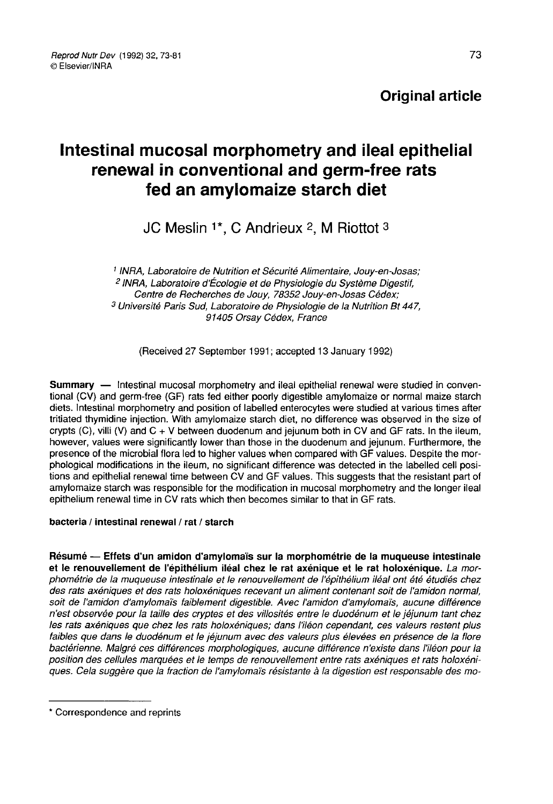# Intestinal mucosal morphometry and ileal epithelial renewal in conventional and germ-free rats fed an amylomaize starch diet ar in conventional and germ-in<br>fed an amylomaize starch die<br>JC Meslin <sup>1\*</sup>, C Andrieux <sup>2</sup>, M Riottot

<sup>1</sup> INRA, Laboratoire de Nutrition et Sécurité Alimentaire, Jouy-en-Josas;<br><sup>2</sup> INRA, Laboratoire d'Écologie et de Physiologie du Système Digestif, Centre de Recherches de Jouy, 78352 Jouy-en-Josas Cédex; <sup>3</sup> Université Paris Sud, Laboratoire de Physiologie de la Nutrition Bt 447, 91405 Orsay Cédex, France

(Received 27 September 1991; accepted 13 January 1992)

Summary — Intestinal mucosal morphometry and ileal epithelial renewal were studied in conventional (CV) and germ-free (GF) rats fed either poorly digestible amylomaize or normal maize starch diets. Intestinal morphometry and position of labelled enterocytes were studied at various times after tritiated thymidine injection. With amylomaize starch diet, no difference was observed in the size of crypts (C), villi (V) and C + V between duodenum and jejunum both in CV and GF rats. In the ileum, however, values were significantly lower than those in the duodenum and jejunum. Furthermore, the presence of the microbial flora led to higher values when compared with GF values. Despite the morphological modifications in the ileum, no significant difference was detected in the labelled cell positions and epithelial renewal time between CV and GF values. This suggests that the resistant part of amylomaize starch was responsible for the modification in mucosal morphometry and the longer ileal epithelium renewal time in CV rats which then becomes similar to that in GF rats.

bacteria / intestinal renewal / rat / starch

Résumé ― Effets d'un amidon d'amylomaïs sur la morphométrie de la muqueuse intestinale et le renouvellement de l'épithélium iléal chez le rat axénique et le rat holoxénique. La morphométrie de la muqueuse intestinale et le renouvellement de l'épithélium iléal ont été étudiés chez des rats axéniques et des rats holoxéniques recevant un aliment contenant soit de l'amidon normal, soit de l'amidon d'amylomaïs faiblement digestible. Avec l'amidon d'amylomaïs, aucune différence n'est observée pour la taille des cryptes et des villosités entre le duodénum et le jéjunum tant chez les rats axéniques que chez les rats holoxéniques; dans l'iléon cependant, ces valeurs restent plus faibles que dans le duodénum et le jéjunum avec des valeurs plus élevées en présence de la flore bactérienne. Malgré ces différences morphologiques, aucune différence n'existe dans l'iléon pour la position des cellules marquées et le temps de renouvellement entre rats axéniques et rats holoxéniques. Cela suggère que la fraction de l'amytomais résistante à la digestion est responsable des mo-

<sup>\*</sup> Correspondence and reprints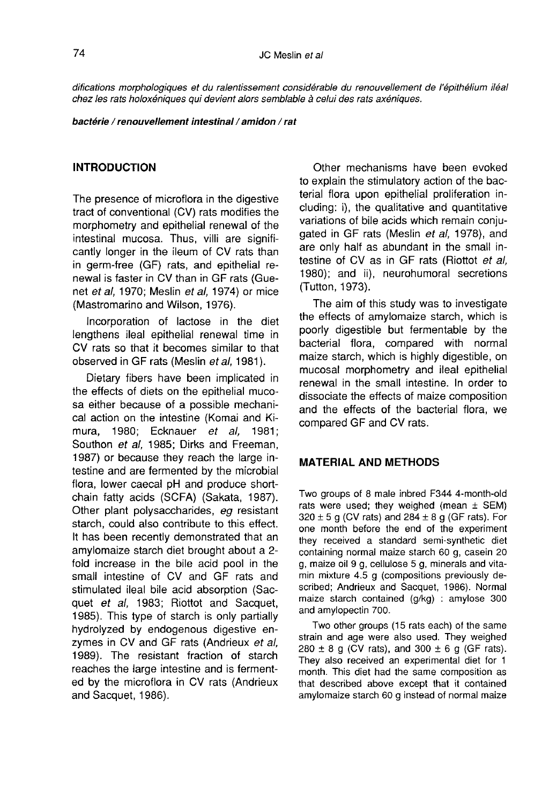difications morphologiques et du ralentissement considérable du renouvellement de l'épithélium iléal chez les rats holoxéniques qui devient alors semblable à celui des rats axéniques.

bactérie / renouvellement intestinal / amidon / rat

#### INTRODUCTION

The presence of microflora in the digestive tract of conventional (CV) rats modifies the morphometry and epithelial renewal of the intestinal mucosa. Thus, villi are significantly longer in the ileum of CV rats than in germ-free (GF) rats, and epithelial renewal is faster in CV than in GF rats (Guenet et al, 1970; Meslin et al, 1974) or mice (Mastromarino and Wilson, 1976).

Incorporation of lactose in the diet lengthens ileal epithelial renewal time in CV rats so that it becomes similar to that observed in GF rats (Meslin et al, 1981).

Dietary fibers have been implicated in the effects of diets on the epithelial mucosa either because of a possible mechanical action on the intestine (Komai and Ki-<br>mura, 1980: Ecknauer et al. 1981: 1980; Ecknauer et al, Southon et al, 1985; Dirks and Freeman, 1987) or because they reach the large intestine and are fermented by the microbial flora, lower caecal pH and produce shortchain fatty acids (SCFA) (Sakata, 1987). Other plant polysaccharides, eg resistant starch, could also contribute to this effect. It has been recently demonstrated that an amylomaize starch diet brought about a 2 fold increase in the bile acid pool in the small intestine of CV and GF rats and stimulated ileal bile acid absorption (Sacquet et al. 1983; Riottot and Sacquet, 1985). This type of starch is only partially hydrolyzed by endogenous digestive enzymes in CV and GF rats (Andrieux et al, 1989). The resistant fraction of starch reaches the large intestine and is fermented by the microflora in CV rats (Andrieux and Sacquet, 1986).

Other mechanisms have been evoked to explain the stimulatory action of the bacterial flora upon epithelial proliferation including: i), the qualitative and quantitative variations of bile acids which remain conjugated in GF rats (Meslin et al, 1978), and are only half as abundant in the small intestine of CV as in GF rats (Riottot et al, 1980); and ii), neurohumoral secretions (Tutton, 1973).

The aim of this study was to investigate the effects of amylomaize starch, which is poorly digestible but fermentable by the bacterial flora, compared with normal maize starch, which is highly digestible, on mucosal morphometry and ileal epithelial renewal in the small intestine. In order to dissociate the effects of maize composition and the effects of the bacterial flora, we compared GF and CV rats.

## MATERIAL AND METHODS

Two groups of 8 male inbred F344 4-month-old rats were used; they weighed (mean  $\pm$  SEM)  $320 \pm 5$  g (CV rats) and  $284 \pm 8$  g (GF rats). For one month before the end of the experiment they received a standard semi-synthetic diet containing normal maize starch 60 g, casein 20 g, maize oil 9 g, cellulose 5 g, minerals and vitamin mixture 4.5 g (compositions previously described; Andrieux and Sacquet, 1986). Normal maize starch contained (g/kg) : amylose 300 and amylopectin 700.

Two other groups (15 rats each) of the same strain and age were also used. They weighed 280  $\pm$  8 g (CV rats), and 300  $\pm$  6 g (GF rats). They also received an experimental diet for 1 month. This diet had the same composition as that described above except that it contained amylomaize starch 60 g instead of normal maize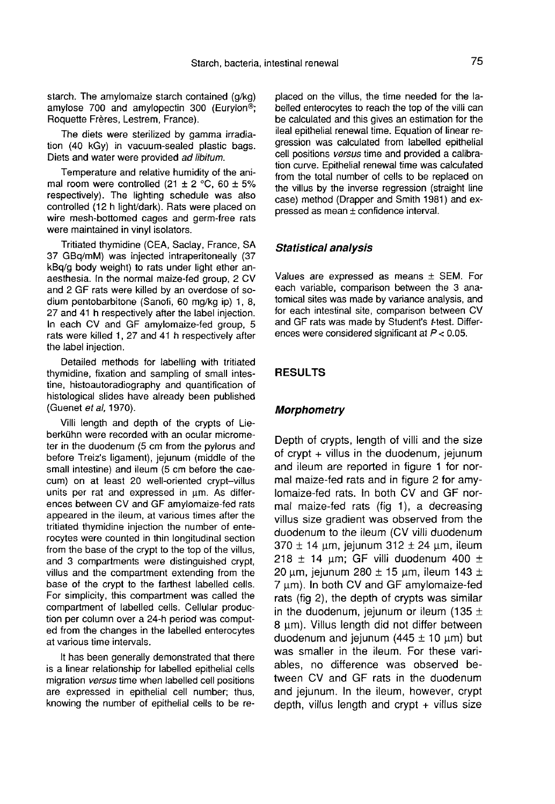The diets were sterilized by gamma irradiation (40 kGy) in vacuum-sealed plastic bags. Diets and water were provided ad libitum.

Temperature and relative humidity of the animal room were controlled (21  $\pm$  2 °C, 60  $\pm$  5% respectively). The lighting schedule was also controlled (12 h light/dark). Rats were placed on wire mesh-bottomed cages and germ-free rats were maintained in vinyl isolators.

Tritiated thymidine (CEA, Saclay, France, SA 37 GBq/mM) was injected intraperitoneally (37 kBq/g body weight) to rats under light ether anaesthesia. In the normal maize-fed group, 2 CV and 2 GF rats were killed by an overdose of sodium pentobarbitone (Sanofi, 60 mg/kg ip) 1, 8, 27 and 41 h respectively after the label injection. In each CV and GF amylomaize-fed group, 5 rats were killed 1, 27 and 41 h respectively after the label injection.

Detailed methods for labelling with tritiated thymidine, fixation and sampling of small intestine, histoautoradiography and quantification of histological slides have already been published (Guenet et al, 1970).

Villi length and depth of the crypts of Lieberkühn were recorded with an ocular micrometer in the duodenum (5 cm from the pylorus and before Treiz's ligament), jejunum (middle of the small intestine) and ileum (5 cm before the caecum) on at least 20 well-oriented crypt-villus units per rat and expressed in um. As differences between CV and GF amylomaize-fed rats appeared in the ileum, at various times after the tritiated thymidine injection the number of enterocytes were counted in thin longitudinal section from the base of the crypt to the top of the villus, and 3 compartments were distinguished crypt, villus and the compartment extending from the base of the crypt to the farthest labelled cells. For simplicity, this compartment was called the compartment of labelled cells. Cellular production per column over a 24-h period was computed from the changes in the labelled enterocytes at various time intervals.

It has been generally demonstrated that there is a linear relationship for labelled epithelial cells migration versus time when labelled cell positions are expressed in epithelial cell number; thus, knowing the number of epithelial cells to be re-

placed on the villus, the time needed for the labelled enterocytes to reach the top of the villi can be calculated and this gives an estimation for the ileal epithelial renewal time. Equation of linear regression was calculated from labelled epithelial cell positions versus time and provided a calibration curve. Epithelial renewal time was calculated from the total number of cells to be replaced on the villus by the inverse regression (straight line case) method (Drapper and Smith 1981) and expressed as mean ± confidence interval.

#### Statistical analysis

Values are expressed as means ± SEM. For each variable, comparison between the 3 anatomical sites was made by variance analysis, and for each intestinal site, comparison between CV and GF rats was made by Student's t-test. Differences were considered significant at  $P < 0.05$ .

#### RESULTS

#### **Morphometry**

Depth of crypts, length of villi and the size of crypt  $+$  villus in the duodenum, jejunum and ileum are reported in figure 1 for normal maize-fed rats and in figure 2 for amylomaize-fed rats. In both CV and GF normal maize-fed rats (fig 1), a decreasing villus size gradient was observed from the duodenum to the ileum (CV villi duodenum  $370 \pm 14$  µm, jejunum  $312 \pm 24$  µm, ileum 218  $\pm$  14 µm; GF villi duodenum 400  $\pm$ 20 um, jejunum 280  $\pm$  15 um, ileum 143  $\pm$ 7 um). In both CV and GF amylomaize-fed rats (fig 2), the depth of crypts was similar in the duodenum, jejunum or ileum (135  $\pm$  $8 \mu m$ ). Villus length did not differ between duodenum and jejunum (445  $\pm$  10 µm) but was smaller in the ileum. For these variables, no difference was observed between CV and GF rats in the duodenum and jejunum. In the ileum, however, crypt depth, villus length and crypt + villus size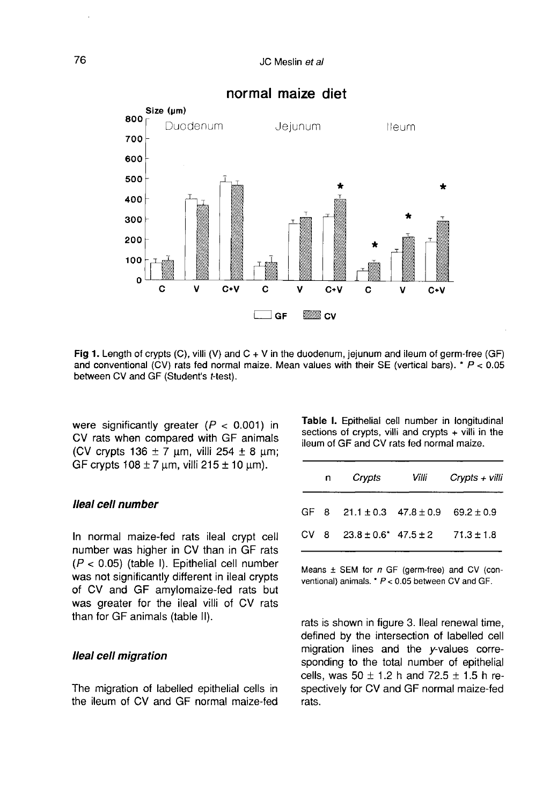

## normal maize diet

Fig 1. Length of crypts (C), villi (V) and  $C + V$  in the duodenum, jejunum and ileum of germ-free (GF) and conventional (CV) rats fed normal maize. Mean values with their SE (vertical bars). \*  $P < 0.05$ between CV and GF (Student's t-test).

were significantly greater ( $P < 0.001$ ) in CV rats when compared with GF animals (CV crypts 136  $\pm$  7 µm, villi 254  $\pm$  8 µm; GF crypts  $108 \pm 7$  um, villi  $215 \pm 10$  um).

## Ileal cell number

In normal maize-fed rats ileal crypt cell number was higher in CV than in GF rats  $(P < 0.05)$  (table I). Epithelial cell number was not significantly different in ileal crypts of CV and GF amylomaize-fed rats but was greater for the ileal villi of CV rats than for GF animals (table II).

## lleal cell migration

The migration of labelled epithelial cells in the ileum of CV and GF normal maize-fed

Table I. Epithelial cell number in longitudinal sections of crypts, villi and crypts  $+$  villi in the ileum of GF and CV rats fed normal maize.

| Crypts | Villi | $Crypts + villi$                                                                      |  |
|--------|-------|---------------------------------------------------------------------------------------|--|
|        |       |                                                                                       |  |
|        |       | $71.3 \pm 1.8$                                                                        |  |
|        | n.    | GF 8 $21.1 \pm 0.3$ $47.8 \pm 0.9$ 69.2 $\pm 0.9$<br>$CV 8 23.8 \pm 0.6^* 47.5 \pm 2$ |  |

Means  $\pm$  SEM for n GF (germ-free) and CV (conventional) animals. \*  $P < 0.05$  between CV and GF.

rats is shown in figure 3. Ileal renewal time, defined by the intersection of labelled cell migration lines and the y-values corresponding to the total number of epithelial cells, was  $50 \pm 1.2$  h and  $72.5 \pm 1.5$  h respectively for CV and GF normal maize-fed rats.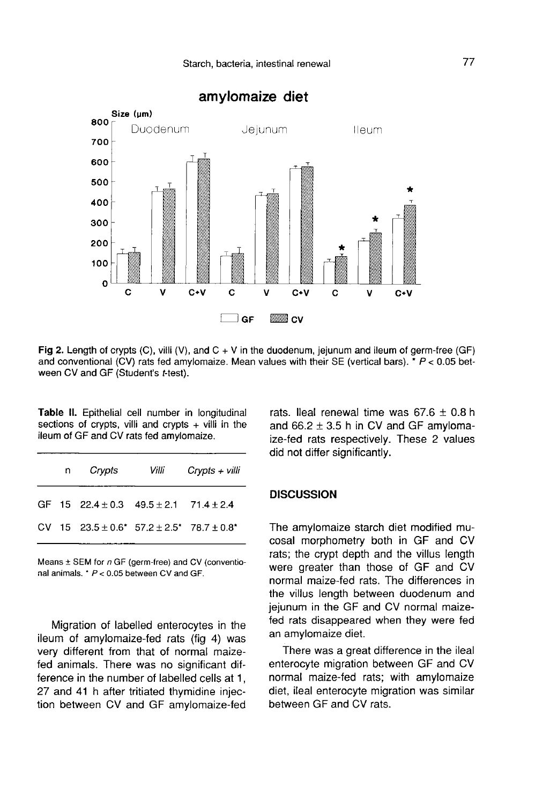

Fig 2. Length of crypts (C), villi (V), and  $C + V$  in the duodenum, jejunum and ileum of germ-free (GF) and conventional (CV) rats fed amylomaize. Mean values with their SE (vertical bars).  $P < 0.05$  between CV and GF (Student's t-test).

Table II. Epithelial cell number in longitudinal sections of crypts, villi and crypts  $+$  villi in the ileum of GF and CV rats fed amylomaize.

 $\overline{p}$ 

GF 15

**CV** 

Crypts

 $22.4 \pm 0.3$ 

 $15$   $23.5 \pm 0.6$ \*  $57.2 \pm 2.5$ \*

Villi

 $49.5 \pm 2.1$ 

Crypts + villi

 $71.4 \pm 2.4$ 

 $78.7 \pm 0.8^*$ 

| rats. Ileal renewal time was $67.6 \pm 0.8$ h |
|-----------------------------------------------|
| and $66.2 \pm 3.5$ h in CV and GF amyloma-    |
| ize-fed rats respectively. These 2 values     |
| did not differ significantly.                 |
|                                               |

#### **DISCUSSION**

The amylomaize starch diet modified mucosal morphometry both in GF and CV<br>rats; the crypt depth and the villus length were greater than those of GF and CV normal maize-fed rats. The differences in the villus length between duodenum and jejunum in the GF and CV normal maizefed rats disappeared when they were fed an amylomaize diet.

There was a great difference in the ileal enterocyte migration between GF and CV normal maize-fed rats; with amylomaize diet, ileal enterocyte migration was similar between GF and CV rats.

| Means $\pm$ SEM for n GF (germ-free) and CV (conventio- |
|---------------------------------------------------------|
| nal animals. $P < 0.05$ between CV and GF.              |

Migration of labelled enterocytes in the ileum of amylomaize-fed rats (fig 4) was very different from that of normal maizefed animals. There was no significant difference in the number of labelled cells at 1, 27 and 41 h after tritiated thymidine injection between CV and GF amylomaize-fed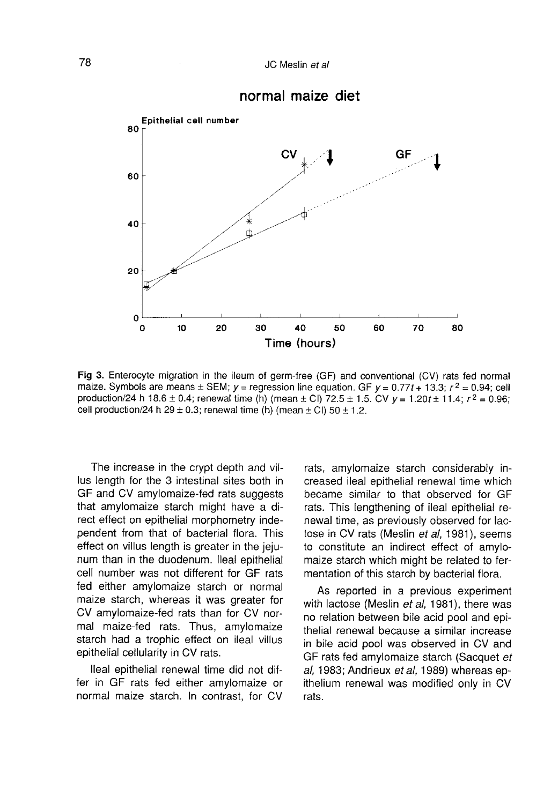normal maize diet



Fig 3. Enterocyte migration in the ileum of germ-free (GF) and conventional (CV) rats fed normal maize. Symbols are means  $\pm$  SEM;  $y =$  regression line equation. GF  $y = 0.77t + 13.3$ ;  $r^2 = 0.94$ ; cell production/24 h 18.6 ± 0.4; renewal time (h) (mean ± Cl) 72.5 ± 1.5. CV  $y = 1.20t \pm 11.4$ ;  $r^2 = 0.96$ ; cell production/24 h 29  $\pm$  0.3; renewal time (h) (mean  $\pm$  CI) 50  $\pm$  1.2.

The increase in the crypt depth and villus length for the 3 intestinal sites both in GF and CV amylomaize-fed rats suggests that amylomaize starch might have a direct effect on epithelial morphometry independent from that of bacterial flora. This num than in the duodenum. Ileal epithelial cell number was not different for GF rats fed either amylomaize starch or normal maize starch, whereas it was greater for CV amylomaize-fed rats than for CV normal maize-fed rats. Thus, amylomaize starch had a trophic effect on ileal villus epithelial cellularity in CV rats.

Ileal epithelial renewal time did not differ in GF rats fed either amylomaize or normal maize starch. In contrast, for CV

rats, amylomaize starch considerably increased ileal epithelial renewal time which became similar to that observed for GF rats. This lengthening of ileal epithelial renewal time, as previously observed for lactose in CV rats (Meslin et al, 1981), seems to constitute an indirect effect of amylomaize starch which might be related to fermentation of this starch by bacterial flora.

As reported in a previous experiment with lactose (Meslin et al, 1981), there was no relation between bile acid pool and epithelial renewal because a similar increase in bile acid pool was observed in CV and GF rats fed amylomaize starch (Sacquet et al, 1983; Andrieux et al, 1989) whereas epithelium renewal was modified only in CV rats.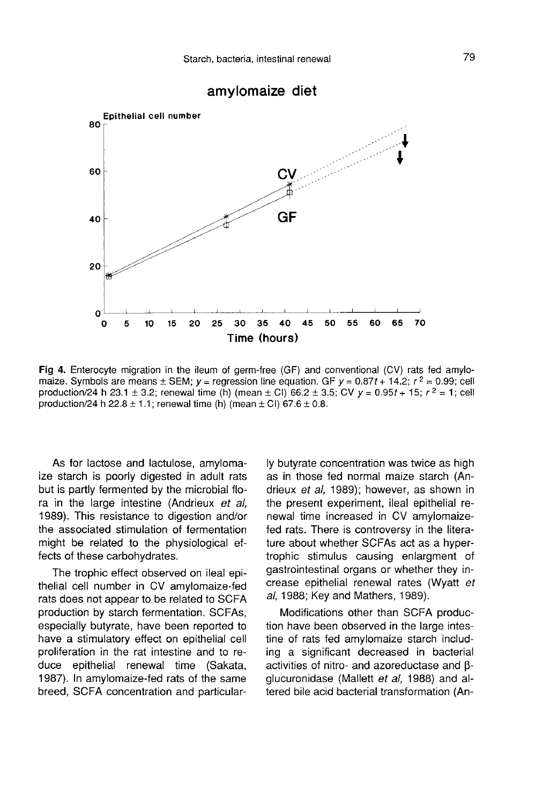

## amylomaize diet

Fig 4. Enterocyte migration in the ileum of germ-free (GF) and conventional (CV) rats fed amylomaize. Symbols are means  $\pm$  SEM; y = regression line equation. GF y = 0.87t + 14.2;  $r^2$  = 0.99; cell production/24 h 23.1 ± 3.2; renewal time (h) (mean ± Cl) 66.2 ± 3.5; CV  $y = 0.95t + 15$ ;  $r^2 = 1$ ; cell production/24 h 22.8  $\pm$  1.1; renewal time (h) (mean  $\pm$  Cl) 67.6  $\pm$  0.8.

As for lactose and lactulose, amylomaize starch is poorly digested in adult rats but is partly fermented by the microbial flora in the large intestine (Andrieux et al, 1989). This resistance to digestion and/or the associated stimulation of fermentation might be related to the physiological effects of these carbohydrates.

The trophic effect observed on ileal epithelial cell number in CV amylomaize-fed rats does not appear to be related to SCFA production by starch fermentation. SCFAs, especially butyrate, have been reported to have a stimulatory effect on epithelial cell proliferation in the rat intestine and to reduce epithelial renewal time (Sakata, 1987). In amylomaize-fed rats of the same breed, SCFA concentration and particularly butyrate concentration was twice as high as in those fed normal maize starch (Andrieux et al, 1989); however, as shown in the present experiment, ileal epithelial renewal time increased in CV amylomaizefed rats. There is controversy in the literature about whether SCFAs act as a hypertrophic stimulus causing enlargment of gastrointestinal organs or whether they increase epithelial renewal rates (Wyatt et al, 1988; Key and Mathers, 1989).

Modifications other than SCFA production have been observed in the large intestine of rats fed amylomaize starch including a significant decreased in bacterial activities of nitro- and azoreductase and  $\beta$ glucuronidase (Mallett et al, 1988) and altered bile acid bacterial transformation (An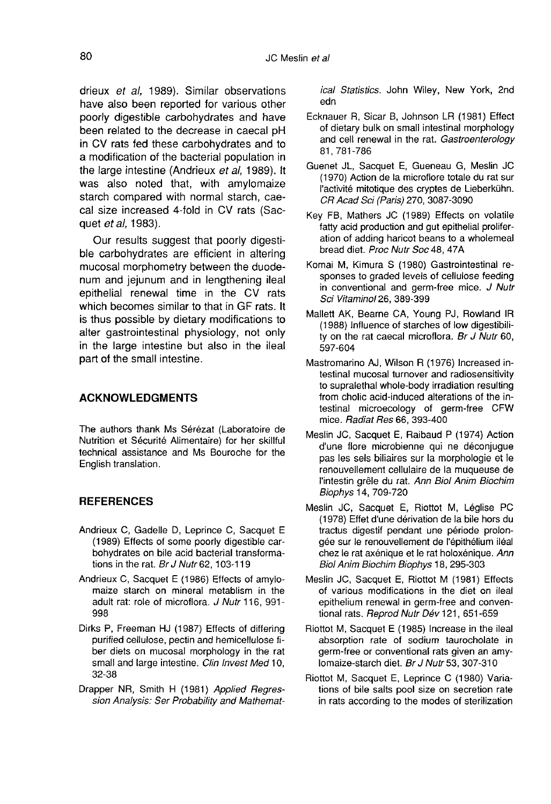drieux et al, 1989). Similar observations have also been reported for various other poorly digestible carbohydrates and have been related to the decrease in caecal pH in CV rats fed these carbohydrates and to a modification of the bacterial population in the large intestine (Andrieux et al. 1989). It was also noted that, with amylomaize starch compared with normal starch, caecal size increased 4-fold in CV rats (Sacquet et al, 1983).

Our results suggest that poorly digestible carbohydrates are efficient in altering mucosal morphometry between the duodenum and jejunum and in lengthening ileal epithelial renewal time in the CV rats which becomes similar to that in GF rats. It is thus possible by dietary modifications to alter gastrointestinal physiology, not only in the large intestine but also in the ileal part of the small intestine.

## ACKNOWLEDGMENTS

The authors thank Ms Sérézat (Laboratoire de Nutrition et Sécurité Alimentaire) for her skillful technical assistance and Ms Bouroche for the English translation.

#### REFERENCES

- Andrieux C, Gadelle D, Leprince C, Sacquet E (1989) Effects of some poorly digestible carbohydrates on bile acid bacterial transformations in the rat. Br  $J$  Nutr 62, 103-119
- Andrieux C, Sacquet E (1986) Effects of amylomaize starch on mineral metablism in the adult rat: role of microflora. J Nutr 116, 991- 998
- Dirks P, Freeman HJ (1987) Effects of differing purified cellulose, pectin and hemicellulose fiber diets on mucosal morphology in the rat small and large intestine. Clin Invest Med 10, 32-38
- Drapper NR, Smith H (1981) Applied Regression Analysis: Ser Probability and Mathemat-

ical Statistics. John Wiley, New York, 2nd edn

- Ecknauer R, Sicar B, Johnson LR (1981) Effect of dietary bulk on small intestinal morphology and cell renewal in the rat. Gastroenterology 81, 781-786
- Guenet JL, Sacquet E, Gueneau G, Meslin JC (1970) Action de la microflore totale du rat sur I'activit6 mitotique des cryptes de Lieberkuhn. CR Acad Sci (Paris) 270, 3087-3090
- Key FB, Mathers JC (1989) Effects on volatile fatty acid production and gut epithelial proliferation of adding haricot beans to a wholemeal bread diet. Proc Nutr Soc 48, 47A
- Komai M, Kimura S (1980) Gastrointestinal responses to graded levels of cellulose feeding in conventional and germ-free mice. J Nutr Sci Vitaminol26, 389-399
- Mallett AK, Bearne CA, Young PJ, Rowland IR (1988) Influence of starches of low digestibility on the rat caecal microflora. Br J Nutr 60, 597-604
- Mastromarino AJ, Wilson R (1976) Increased intestinal mucosal turnover and radiosensitivity to supralethal whole-body irradiation resulting from cholic acid-induced alterations of the intestinal microecology of germ-free CFW mice. Radiat Res 66, 393-400
- Meslin JC, Sacquet E, Raibaud P (1974) Action d'une flore microbienne qui ne déconjugue pas les sels biliaires sur la morphologie et le renouvellement cellulaire de la muqueuse de I'intestin grêle du rat. Ann Biol Anim Biochim Biophys 14, 709-720
- Meslin JC, Sacquet E, Riottot M, Léglise PC (1978) Effet d'une derivation de la bile hors du tractus digestif pendant une période prolongée sur le renouvellement de l'épithélium iléal chez le rat axénique et le rat holoxénique. Ann Biol Anim Biochim Biophys 18, 295-303
- Meslin JC, Sacquet E, Riottot M (1981) Effects of various modifications in the diet on ileal epithelium renewal in germ-free and conventional rats. Reprod Nutr Dév 121, 651-659
- Riottot M, Sacquet E (1985) Increase in the ileal absorption rate of sodium taurocholate in germ-free or conventional rats given an amylomaize-starch diet. Br J Nutr 53, 307-310
- Riottot M, Sacquet E, Leprince C (1980) Variations of bile salts pool size on secretion rate in rats according to the modes of sterilization